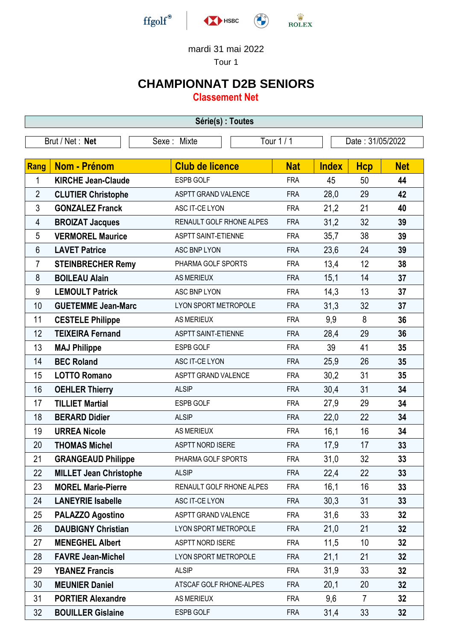

## mardi 31 mai 2022

Tour 1

## **CHAMPIONNAT D2B SENIORS**

**Classement Net**

| Série(s) : Toutes |                               |                             |            |              |                  |            |  |
|-------------------|-------------------------------|-----------------------------|------------|--------------|------------------|------------|--|
| Brut / Net: Net   |                               | Sexe: Mixte                 | Tour 1/1   |              | Date: 31/05/2022 |            |  |
|                   |                               |                             |            |              |                  |            |  |
| Rang              | <b>Nom - Prénom</b>           | <b>Club de licence</b>      | <b>Nat</b> | <b>Index</b> | <b>Hcp</b>       | <b>Net</b> |  |
| 1                 | <b>KIRCHE Jean-Claude</b>     | <b>ESPB GOLF</b>            | <b>FRA</b> | 45           | 50               | 44         |  |
| 2                 | <b>CLUTIER Christophe</b>     | <b>ASPTT GRAND VALENCE</b>  | <b>FRA</b> | 28,0         | 29               | 42         |  |
| 3                 | <b>GONZALEZ Franck</b>        | ASC IT-CE LYON              | <b>FRA</b> | 21,2         | 21               | 40         |  |
| 4                 | <b>BROIZAT Jacques</b>        | RENAULT GOLF RHONE ALPES    | <b>FRA</b> | 31,2         | 32               | 39         |  |
| 5                 | <b>VERMOREL Maurice</b>       | <b>ASPTT SAINT-ETIENNE</b>  | <b>FRA</b> | 35,7         | 38               | 39         |  |
| 6                 | <b>LAVET Patrice</b>          | <b>ASC BNP LYON</b>         | <b>FRA</b> | 23,6         | 24               | 39         |  |
| 7                 | <b>STEINBRECHER Remy</b>      | PHARMA GOLF SPORTS          | <b>FRA</b> | 13,4         | 12               | 38         |  |
| 8                 | <b>BOILEAU Alain</b>          | <b>AS MERIEUX</b>           | <b>FRA</b> | 15,1         | 14               | 37         |  |
| 9                 | <b>LEMOULT Patrick</b>        | ASC BNP LYON                | <b>FRA</b> | 14,3         | 13               | 37         |  |
| 10                | <b>GUETEMME Jean-Marc</b>     | <b>LYON SPORT METROPOLE</b> | <b>FRA</b> | 31,3         | 32               | 37         |  |
| 11                | <b>CESTELE Philippe</b>       | <b>AS MERIEUX</b>           | <b>FRA</b> | 9,9          | 8                | 36         |  |
| 12                | <b>TEIXEIRA Fernand</b>       | <b>ASPTT SAINT-ETIENNE</b>  | <b>FRA</b> | 28,4         | 29               | 36         |  |
| 13                | <b>MAJ Philippe</b>           | <b>ESPB GOLF</b>            | <b>FRA</b> | 39           | 41               | 35         |  |
| 14                | <b>BEC Roland</b>             | ASC IT-CE LYON              | <b>FRA</b> | 25,9         | 26               | 35         |  |
| 15                | <b>LOTTO Romano</b>           | <b>ASPTT GRAND VALENCE</b>  | <b>FRA</b> | 30,2         | 31               | 35         |  |
| 16                | <b>OEHLER Thierry</b>         | <b>ALSIP</b>                | <b>FRA</b> | 30,4         | 31               | 34         |  |
| 17                | <b>TILLIET Martial</b>        | ESPB GOLF                   | <b>FRA</b> | 27,9         | 29               | 34         |  |
| 18                | <b>BERARD Didier</b>          | <b>ALSIP</b>                | <b>FRA</b> | 22,0         | 22               | 34         |  |
| 19                | <b>URREA Nicole</b>           | <b>AS MERIEUX</b>           | <b>FRA</b> | 16,1         | 16               | 34         |  |
| 20                | <b>THOMAS Michel</b>          | <b>ASPTT NORD ISERE</b>     | <b>FRA</b> | 17,9         | 17               | 33         |  |
| 21                | <b>GRANGEAUD Philippe</b>     | PHARMA GOLF SPORTS          | <b>FRA</b> | 31,0         | 32               | 33         |  |
| 22                | <b>MILLET Jean Christophe</b> | <b>ALSIP</b>                | <b>FRA</b> | 22,4         | 22               | 33         |  |
| 23                | <b>MOREL Marie-Pierre</b>     | RENAULT GOLF RHONE ALPES    | <b>FRA</b> | 16,1         | 16               | 33         |  |
| 24                | <b>LANEYRIE Isabelle</b>      | ASC IT-CE LYON              | <b>FRA</b> | 30,3         | 31               | 33         |  |
| 25                | <b>PALAZZO Agostino</b>       | ASPTT GRAND VALENCE         | <b>FRA</b> | 31,6         | 33               | 32         |  |
| 26                | <b>DAUBIGNY Christian</b>     | LYON SPORT METROPOLE        | <b>FRA</b> | 21,0         | 21               | 32         |  |
| 27                | <b>MENEGHEL Albert</b>        | <b>ASPTT NORD ISERE</b>     | <b>FRA</b> | 11,5         | 10               | 32         |  |
| 28                | <b>FAVRE Jean-Michel</b>      | LYON SPORT METROPOLE        | <b>FRA</b> | 21,1         | 21               | 32         |  |
| 29                | <b>YBANEZ Francis</b>         | <b>ALSIP</b>                | <b>FRA</b> | 31,9         | 33               | 32         |  |
| 30                | <b>MEUNIER Daniel</b>         | ATSCAF GOLF RHONE-ALPES     | <b>FRA</b> | 20,1         | 20               | 32         |  |
| 31                | <b>PORTIER Alexandre</b>      | <b>AS MERIEUX</b>           | <b>FRA</b> | 9,6          | $\overline{7}$   | 32         |  |
| 32                | <b>BOUILLER Gislaine</b>      | ESPB GOLF                   | <b>FRA</b> | 31,4         | 33               | 32         |  |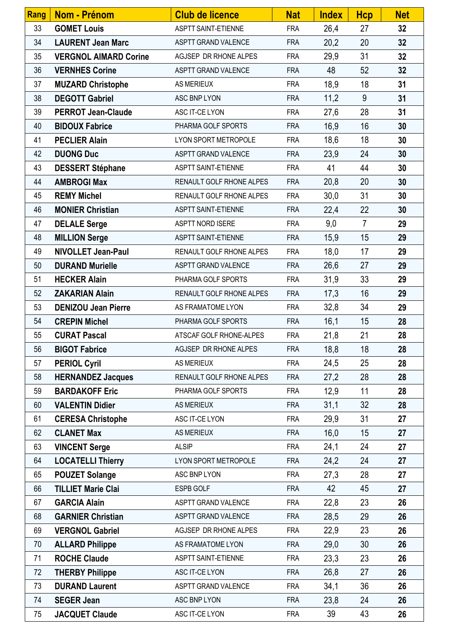| Rang | <b>Nom - Prénom</b>          | <b>Club de licence</b>          | <b>Nat</b> | <b>Index</b> | <b>Hcp</b>     | <b>Net</b> |
|------|------------------------------|---------------------------------|------------|--------------|----------------|------------|
| 33   | <b>GOMET Louis</b>           | <b>ASPTT SAINT-ETIENNE</b>      | <b>FRA</b> | 26,4         | 27             | 32         |
| 34   | <b>LAURENT Jean Marc</b>     | ASPTT GRAND VALENCE             | <b>FRA</b> | 20,2         | 20             | 32         |
| 35   | <b>VERGNOL AIMARD Corine</b> | AGJSEP DR RHONE ALPES           | <b>FRA</b> | 29,9         | 31             | 32         |
| 36   | <b>VERNHES Corine</b>        | ASPTT GRAND VALENCE             | <b>FRA</b> | 48           | 52             | 32         |
| 37   | <b>MUZARD Christophe</b>     | <b>AS MERIEUX</b>               | <b>FRA</b> | 18,9         | 18             | 31         |
| 38   | <b>DEGOTT Gabriel</b>        | ASC BNP LYON                    | <b>FRA</b> | 11,2         | 9              | 31         |
| 39   | <b>PERROT Jean-Claude</b>    | ASC IT-CE LYON                  | <b>FRA</b> | 27,6         | 28             | 31         |
| 40   | <b>BIDOUX Fabrice</b>        | PHARMA GOLF SPORTS              | <b>FRA</b> | 16,9         | 16             | 30         |
| 41   | <b>PECLIER Alain</b>         | LYON SPORT METROPOLE            | <b>FRA</b> | 18,6         | 18             | 30         |
| 42   | <b>DUONG Duc</b>             | ASPTT GRAND VALENCE             | <b>FRA</b> | 23,9         | 24             | 30         |
| 43   | <b>DESSERT Stéphane</b>      | <b>ASPTT SAINT-ETIENNE</b>      | <b>FRA</b> | 41           | 44             | 30         |
| 44   | <b>AMBROGI Max</b>           | <b>RENAULT GOLF RHONE ALPES</b> | <b>FRA</b> | 20,8         | 20             | 30         |
| 45   | <b>REMY Michel</b>           | RENAULT GOLF RHONE ALPES        | <b>FRA</b> | 30,0         | 31             | 30         |
| 46   | <b>MONIER Christian</b>      | <b>ASPTT SAINT-ETIENNE</b>      | <b>FRA</b> | 22,4         | 22             | 30         |
| 47   | <b>DELALE Serge</b>          | ASPTT NORD ISERE                | <b>FRA</b> | 9,0          | $\overline{7}$ | 29         |
| 48   | <b>MILLION Serge</b>         | ASPTT SAINT-ETIENNE             | <b>FRA</b> | 15,9         | 15             | 29         |
| 49   | <b>NIVOLLET Jean-Paul</b>    | RENAULT GOLF RHONE ALPES        | <b>FRA</b> | 18,0         | 17             | 29         |
| 50   | <b>DURAND Murielle</b>       | ASPTT GRAND VALENCE             | <b>FRA</b> | 26,6         | 27             | 29         |
| 51   | <b>HECKER Alain</b>          | PHARMA GOLF SPORTS              | <b>FRA</b> | 31,9         | 33             | 29         |
| 52   | <b>ZAKARIAN Alain</b>        | RENAULT GOLF RHONE ALPES        | <b>FRA</b> | 17,3         | 16             | 29         |
| 53   | <b>DENIZOU Jean Pierre</b>   | AS FRAMATOME LYON               | <b>FRA</b> | 32,8         | 34             | 29         |
| 54   | <b>CREPIN Michel</b>         | PHARMA GOLF SPORTS              | <b>FRA</b> | 16,1         | 15             | 28         |
| 55   | <b>CURAT Pascal</b>          | ATSCAF GOLF RHONE-ALPES         | <b>FRA</b> | 21,8         | 21             | 28         |
| 56   | <b>BIGOT Fabrice</b>         | AGJSEP DR RHONE ALPES           | <b>FRA</b> | 18,8         | 18             | 28         |
| 57   | <b>PERIOL Cyril</b>          | <b>AS MERIEUX</b>               | <b>FRA</b> | 24,5         | 25             | 28         |
| 58   | <b>HERNANDEZ Jacques</b>     | <b>RENAULT GOLF RHONE ALPES</b> | <b>FRA</b> | 27,2         | 28             | 28         |
| 59   | <b>BARDAKOFF Eric</b>        | PHARMA GOLF SPORTS              | <b>FRA</b> | 12,9         | 11             | 28         |
| 60   | <b>VALENTIN Didier</b>       | <b>AS MERIEUX</b>               | <b>FRA</b> | 31,1         | 32             | 28         |
| 61   | <b>CERESA Christophe</b>     | ASC IT-CE LYON                  | <b>FRA</b> | 29,9         | 31             | 27         |
| 62   | <b>CLANET Max</b>            | <b>AS MERIEUX</b>               | <b>FRA</b> | 16,0         | 15             | 27         |
| 63   | <b>VINCENT Serge</b>         | <b>ALSIP</b>                    | <b>FRA</b> | 24,1         | 24             | 27         |
| 64   | <b>LOCATELLI Thierry</b>     | LYON SPORT METROPOLE            | <b>FRA</b> | 24,2         | 24             | 27         |
| 65   | <b>POUZET Solange</b>        | ASC BNP LYON                    | <b>FRA</b> | 27,3         | 28             | 27         |
| 66   | <b>TILLIET Marie Clai</b>    | <b>ESPB GOLF</b>                | <b>FRA</b> | 42           | 45             | 27         |
| 67   | <b>GARCIA Alain</b>          | ASPTT GRAND VALENCE             | <b>FRA</b> | 22,8         | 23             | 26         |
| 68   | <b>GARNIER Christian</b>     | ASPTT GRAND VALENCE             | <b>FRA</b> | 28,5         | 29             | 26         |
| 69   | <b>VERGNOL Gabriel</b>       | AGJSEP DR RHONE ALPES           | <b>FRA</b> | 22,9         | 23             | 26         |
| 70   | <b>ALLARD Philippe</b>       | AS FRAMATOME LYON               | <b>FRA</b> | 29,0         | 30             | 26         |
| 71   | <b>ROCHE Claude</b>          | <b>ASPTT SAINT-ETIENNE</b>      | <b>FRA</b> | 23,3         | 23             | 26         |
| 72   | <b>THERBY Philippe</b>       | ASC IT-CE LYON                  | <b>FRA</b> | 26,8         | 27             | 26         |
| 73   | <b>DURAND Laurent</b>        | <b>ASPTT GRAND VALENCE</b>      | <b>FRA</b> | 34,1         | 36             | 26         |
| 74   | <b>SEGER Jean</b>            | ASC BNP LYON                    | <b>FRA</b> | 23,8         | 24             | 26         |
| 75   | <b>JACQUET Claude</b>        | ASC IT-CE LYON                  | <b>FRA</b> | 39           | 43             | 26         |